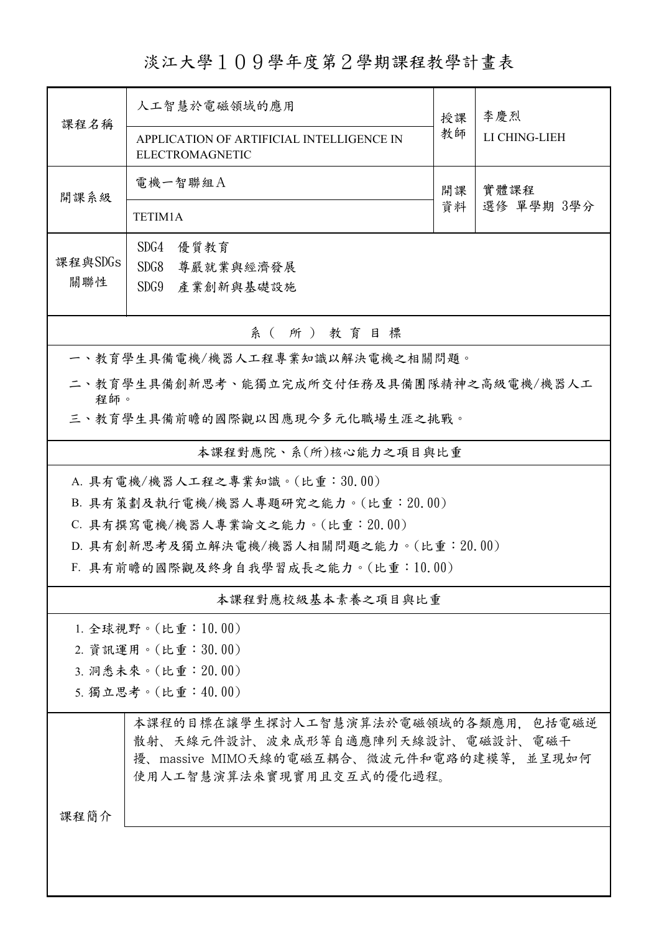淡江大學109學年度第2學期課程教學計畫表

| 課程名稱                             | 人工智慧於電磁領域的應用                                                                                                          |          | 李慶烈                |  |  |  |
|----------------------------------|-----------------------------------------------------------------------------------------------------------------------|----------|--------------------|--|--|--|
|                                  | APPLICATION OF ARTIFICIAL INTELLIGENCE IN<br>ELECTROMAGNETIC                                                          | 教師       | LI CHING-LIEH      |  |  |  |
| 開課系級                             | 電機一智聯組A                                                                                                               | 開課<br>資料 | 實體課程<br>選修 單學期 3學分 |  |  |  |
|                                  | TETIM1A                                                                                                               |          |                    |  |  |  |
| 課程與SDGs                          | SDG4<br>優質教育                                                                                                          |          |                    |  |  |  |
| 關聯性                              | SDG8<br>尊嚴就業與經濟發展<br>SDG9<br>產業創新與基礎設施                                                                                |          |                    |  |  |  |
|                                  |                                                                                                                       |          |                    |  |  |  |
| 系(所)教育目標                         |                                                                                                                       |          |                    |  |  |  |
|                                  | 一、教育學生具備電機/機器人工程專業知識以解決電機之相關問題。                                                                                       |          |                    |  |  |  |
| 程師。                              | 二、教育學生具備創新思考、能獨立完成所交付任務及具備團隊精神之高級電機/機器人工                                                                              |          |                    |  |  |  |
|                                  | 三、教育學生具備前瞻的國際觀以因應現今多元化職場生涯之挑戰。                                                                                        |          |                    |  |  |  |
| 本課程對應院、系(所)核心能力之項目與比重            |                                                                                                                       |          |                    |  |  |  |
|                                  | A. 具有電機/機器人工程之專業知識。(比重:30.00)                                                                                         |          |                    |  |  |  |
|                                  | B. 具有策劃及執行電機/機器人專題研究之能力。(比重: 20.00)                                                                                   |          |                    |  |  |  |
| C. 具有撰寫電機/機器人專業論文之能力。(比重: 20.00) |                                                                                                                       |          |                    |  |  |  |
|                                  | D. 具有創新思考及獨立解決電機/機器人相關問題之能力。(比重:20.00)                                                                                |          |                    |  |  |  |
|                                  | F. 具有前瞻的國際觀及終身自我學習成長之能力。(比重:10.00)                                                                                    |          |                    |  |  |  |
|                                  | 本課程對應校級基本素養之項目與比重                                                                                                     |          |                    |  |  |  |
|                                  | 1. 全球視野。(比重:10.00)                                                                                                    |          |                    |  |  |  |
|                                  | 2. 資訊運用。(比重:30.00)                                                                                                    |          |                    |  |  |  |
|                                  | 3. 洞悉未來。(比重: 20.00)                                                                                                   |          |                    |  |  |  |
|                                  | 5. 獨立思考。(比重:40.00)                                                                                                    |          |                    |  |  |  |
|                                  | 本課程的目標在讓學生探討人工智慧演算法於電磁領域的各類應用,包括電磁逆<br>散射、天線元件設計、波束成形等自適應陣列天線設計、電磁設計、電磁干<br>擾、massive MIMO天線的電磁互耦合、微波元件和電路的建模等, 並呈現如何 |          |                    |  |  |  |
|                                  | 使用人工智慧演算法來實現實用且交互式的優化過程。                                                                                              |          |                    |  |  |  |
| 課程簡介                             |                                                                                                                       |          |                    |  |  |  |
|                                  |                                                                                                                       |          |                    |  |  |  |
|                                  |                                                                                                                       |          |                    |  |  |  |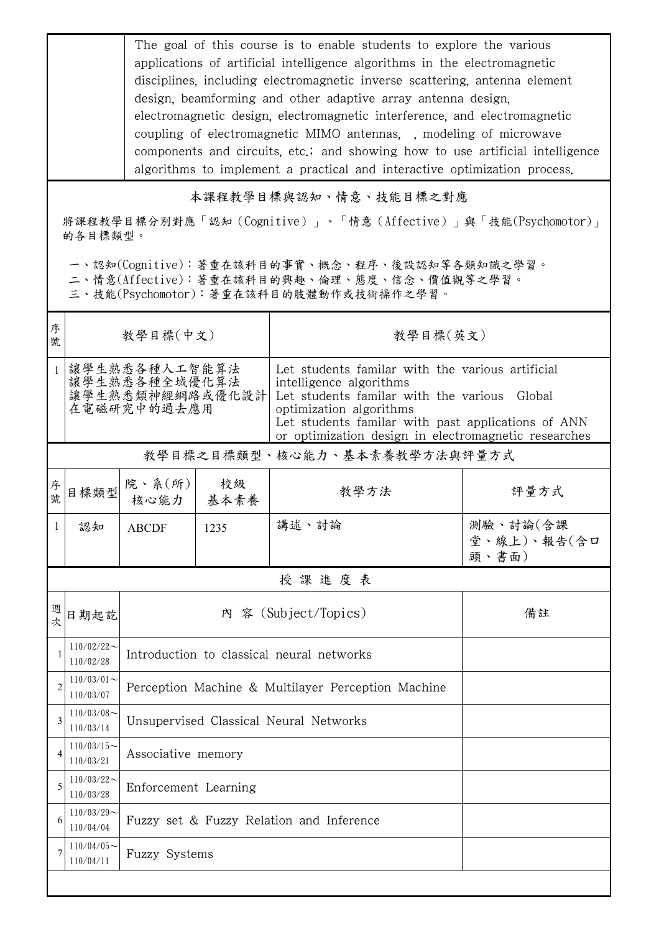The goal of this course is to enable students to explore the various applications of artificial intelligence algorithms in the electromagnetic disciplines, including electromagnetic inverse scattering, antenna element design, beamforming and other adaptive array antenna design, electromagnetic design, electromagnetic interference, and electromagnetic coupling of electromagnetic MIMO antennas, , modeling of microwave components and circuits, etc.; and showing how to use artificial intelligence algorithms to implement a practical and interactive optimization process.

本課程教學目標與認知、情意、技能目標之對應

將課程教學目標分別對應「認知(Cognitive)」、「情意(Affective)」與「技能(Psychomotor)」 的各目標類型。

一、認知(Cognitive):著重在該科目的事實、概念、程序、後設認知等各類知識之學習。

二、情意(Affective):著重在該科目的興趣、倫理、態度、信念、價值觀等之學習。

三、技能(Psychomotor):著重在該科目的肢體動作或技術操作之學習。

| 序<br>號         | 教學目標(中文)                                                         |                                                    |      | 教學目標(英文)                                                                                                                                                                                                                                                             |                                  |  |  |  |
|----------------|------------------------------------------------------------------|----------------------------------------------------|------|----------------------------------------------------------------------------------------------------------------------------------------------------------------------------------------------------------------------------------------------------------------------|----------------------------------|--|--|--|
| $\mathbf{1}$   | 讓學生熟悉各種人工智能算法<br>讓學生熟悉各種全域優化算法<br>讓學生熟悉類神經網路或優化設計<br>在電磁研究中的過去應用 |                                                    |      | Let students familar with the various artificial<br>intelligence algorithms<br>Let students familar with the various Global<br>optimization algorithms<br>Let students familar with past applications of ANN<br>or optimization design in electromagnetic researches |                                  |  |  |  |
|                | 教學目標之目標類型、核心能力、基本素養教學方法與評量方式                                     |                                                    |      |                                                                                                                                                                                                                                                                      |                                  |  |  |  |
| 序號             | 目標類型                                                             | 院、系 $(\kappa)$<br>核心能力   基本素養                      | 校級   | 教學方法                                                                                                                                                                                                                                                                 | 評量方式                             |  |  |  |
| 1              | 認知                                                               | <b>ABCDF</b>                                       | 1235 | 講述、討論                                                                                                                                                                                                                                                                | 測驗、討論(含課<br>堂、線上)、報告(含口<br>頭、書面) |  |  |  |
|                | 授課進度表                                                            |                                                    |      |                                                                                                                                                                                                                                                                      |                                  |  |  |  |
| 週<br>次         | 日期起訖                                                             | 內 容 (Subject/Topics)                               |      |                                                                                                                                                                                                                                                                      | 備註                               |  |  |  |
|                | $110/02/22$ ~<br>110/02/28                                       | Introduction to classical neural networks          |      |                                                                                                                                                                                                                                                                      |                                  |  |  |  |
| $\overline{2}$ | $110/03/01$ ~<br>110/03/07                                       | Perception Machine & Multilayer Perception Machine |      |                                                                                                                                                                                                                                                                      |                                  |  |  |  |
| 3              | $110/03/08$ ~<br>110/03/14                                       | Unsupervised Classical Neural Networks             |      |                                                                                                                                                                                                                                                                      |                                  |  |  |  |
| 4              | $110/03/15$ ~<br>110/03/21                                       | Associative memory                                 |      |                                                                                                                                                                                                                                                                      |                                  |  |  |  |
| 5              | $110/03/22$ ~<br>110/03/28                                       | Enforcement Learning                               |      |                                                                                                                                                                                                                                                                      |                                  |  |  |  |
| 6              | $110/03/29$ ~<br>110/04/04                                       | Fuzzy set & Fuzzy Relation and Inference           |      |                                                                                                                                                                                                                                                                      |                                  |  |  |  |
| 7              | $110/04/05$ ~<br>110/04/11                                       | Fuzzy Systems                                      |      |                                                                                                                                                                                                                                                                      |                                  |  |  |  |
|                |                                                                  |                                                    |      |                                                                                                                                                                                                                                                                      |                                  |  |  |  |